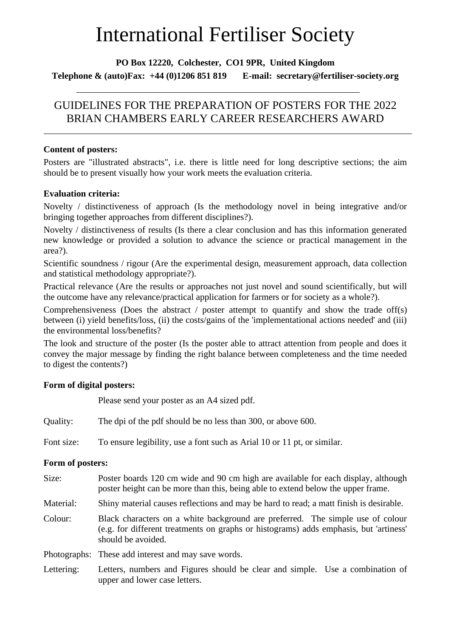# International Fertiliser Society

**PO Box 12220, Colchester, CO1 9PR, United Kingdom Telephone & (auto)Fax: +44 (0)1206 851 819 E-mail: secretary@fertiliser-society.org**

## GUIDELINES FOR THE PREPARATION OF POSTERS FOR THE 2022 BRIAN CHAMBERS EARLY CAREER RESEARCHERS AWARD

#### **Content of posters:**

Posters are "illustrated abstracts", i.e. there is little need for long descriptive sections; the aim should be to present visually how your work meets the evaluation criteria.

### **Evaluation criteria:**

Novelty / distinctiveness of approach (Is the methodology novel in being integrative and/or bringing together approaches from different disciplines?).

Novelty / distinctiveness of results (Is there a clear conclusion and has this information generated new knowledge or provided a solution to advance the science or practical management in the area?).

Scientific soundness / rigour (Are the experimental design, measurement approach, data collection and statistical methodology appropriate?).

Practical relevance (Are the results or approaches not just novel and sound scientifically, but will the outcome have any relevance/practical application for farmers or for society as a whole?).

Comprehensiveness (Does the abstract / poster attempt to quantify and show the trade off(s) between (i) yield benefits/loss, (ii) the costs/gains of the 'implementational actions needed' and (iii) the environmental loss/benefits?

The look and structure of the poster (Is the poster able to attract attention from people and does it convey the major message by finding the right balance between completeness and the time needed to digest the contents?)

### **Form of digital posters:**

Please send your poster as an A4 sized pdf.

| Quality:         | The dpi of the pdf should be no less than 300, or above 600.                                                                                                                                  |
|------------------|-----------------------------------------------------------------------------------------------------------------------------------------------------------------------------------------------|
| Font size:       | To ensure legibility, use a font such as Arial 10 or 11 pt, or similar.                                                                                                                       |
| Form of posters: |                                                                                                                                                                                               |
| Size:            | Poster boards 120 cm wide and 90 cm high are available for each display, although<br>poster height can be more than this, being able to extend below the upper frame.                         |
| Material:        | Shiny material causes reflections and may be hard to read; a matt finish is desirable.                                                                                                        |
| Colour:          | Black characters on a white background are preferred. The simple use of colour<br>(e.g. for different treatments on graphs or histograms) adds emphasis, but 'artiness'<br>should be avoided. |
| Photographs:     | These add interest and may save words.                                                                                                                                                        |
| Lettering:       | Letters, numbers and Figures should be clear and simple. Use a combination of<br>upper and lower case letters.                                                                                |